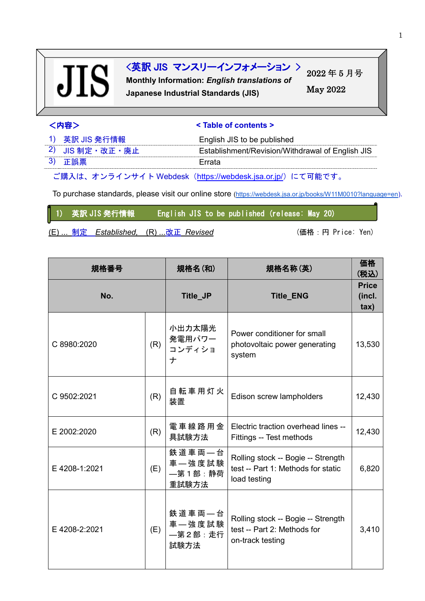# **JIS**

### <英訳 JIS マンスリーインフォメーション >

**Monthly Information:** *English translations of* **Japanese Industrial Standards (JIS)**

2022 年 5 月号 May 2022

| <内容> | < Table of contents > |
|------|-----------------------|
|      |                       |

| 1) 英訳 JIS 発行情報      | English JIS to be published                      |
|---------------------|--------------------------------------------------|
| 2) JIS 制定 · 改正 · 廃止 | Establishment/Revision/Withdrawal of English JIS |
| 3) 正誤票              | Errata                                           |

ご購入は、オンラインサイト Webdesk(<https://webdesk.jsa.or.jp/>)にて可能です。

To purchase standards, please visit our online store [\(https://webdesk.jsa.or.jp/books/W11M0010?language=en\)](https://webdesk.jsa.or.jp/books/W11M0010?language=en).

1) 英訳 JIS 発行情報 English JIS to be published (release: May 20)

(E) ... 制定 Established, (R) ...改正 Revised (married: Ten ) (価格:円 Price: Yen)

| 規格番号          |     | 規格名(和)<br>規格名称(英)                    |                                                                                          | 価格<br>(税込)                     |
|---------------|-----|--------------------------------------|------------------------------------------------------------------------------------------|--------------------------------|
| No.           |     | Title_JP                             | <b>Title_ENG</b>                                                                         | <b>Price</b><br>(incl.<br>tax) |
| C 8980:2020   | (R) | 小出力太陽光<br>発電用パワー<br>コンディショ<br>ナ      | Power conditioner for small<br>photovoltaic power generating<br>system                   | 13,530                         |
| C 9502:2021   | (R) | 自転車用灯火<br>装置                         | Edison screw lampholders                                                                 | 12,430                         |
| E 2002:2020   | (R) | 電車線路用金<br>具試験方法                      | Electric traction overhead lines --<br>Fittings -- Test methods                          | 12,430                         |
| E 4208-1:2021 | (E) | 鉄道車両一台<br>車一強度試験<br>—第1部:静荷<br>重試験方法 | Rolling stock -- Bogie -- Strength<br>test -- Part 1: Methods for static<br>load testing | 6,820                          |
| E 4208-2:2021 | (E) | 鉄道車両一台<br>車一強度試験<br>—第2部:走行<br>試験方法  | Rolling stock -- Bogie -- Strength<br>test -- Part 2: Methods for<br>on-track testing    | 3,410                          |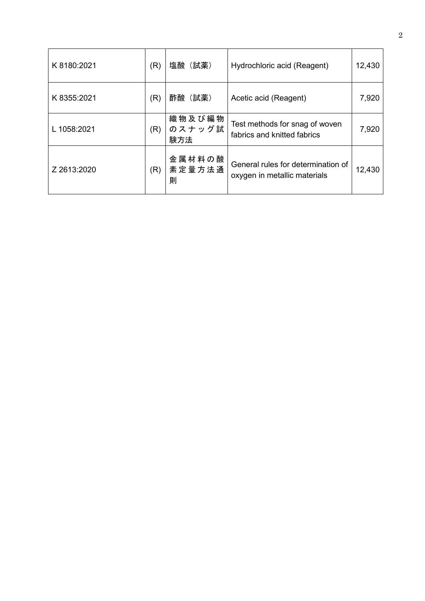| K 8180:2021 | (R) | 塩酸(試薬)                  | Hydrochloric acid (Reagent)                                        | 12,430 |
|-------------|-----|-------------------------|--------------------------------------------------------------------|--------|
| K 8355:2021 | (R) | 酢酸(試薬)                  | Acetic acid (Reagent)                                              | 7,920  |
| L 1058:2021 | (R) | 織物及び編物<br>のスナッグ試<br>験方法 | Test methods for snag of woven<br>fabrics and knitted fabrics      | 7,920  |
| Z 2613:2020 | (R) | 金属材料の酸<br>素定量方法通<br>則   | General rules for determination of<br>oxygen in metallic materials | 12,430 |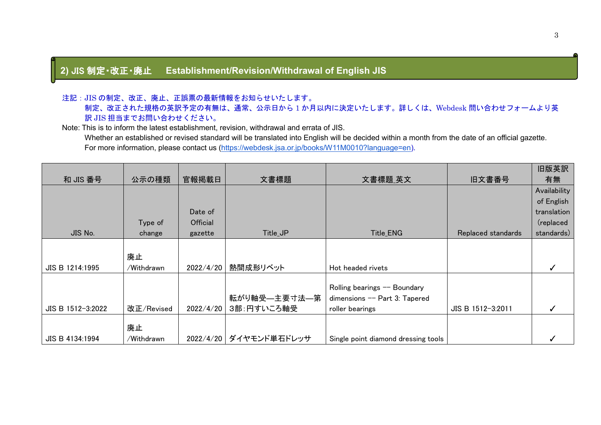#### **2)** JIS 制定・改正・廃止 **Establishment/Revision/Withdrawal of English JIS**

#### 注記:JIS の制定、改正、廃止、正誤票の最新情報をお知らせいたします。

 制定、改正された規格の英訳予定の有無は、通常、公示日から 1 か月以内に決定いたします。詳しくは、Webdesk 問い合わせフォームより英 訳 JIS 担当までお問い合わせください。

Note: This is to inform the latest establishment, revision, withdrawal and errata of JIS.

Whether an established or revised standard will be translated into English will be decided within a month from the date of an official gazette. For more information, please contact us [\(https://webdesk.jsa.or.jp/books/W11M0010?language=en\)](https://webdesk.jsa.or.jp/books/W11M0010?language=en).

|                   |            |           |                        |                                     |                    | 旧版英訳         |
|-------------------|------------|-----------|------------------------|-------------------------------------|--------------------|--------------|
| 和 JIS 番号          | 公示の種類      | 官報掲載日     | 文書標題                   | 文書標題_英文                             | 旧文書番号              | 有無           |
|                   |            |           |                        |                                     |                    | Availability |
|                   |            |           |                        |                                     |                    | of English   |
|                   |            | Date of   |                        |                                     |                    | translation  |
|                   | Type of    | Official  |                        |                                     |                    | (replaced    |
| JIS No.           | change     | gazette   | Title_JP               | Title_ENG                           | Replaced standards | standards)   |
|                   |            |           |                        |                                     |                    |              |
|                   | 廃止         |           |                        |                                     |                    |              |
| JIS B 1214:1995   | /Withdrawn | 2022/4/20 | 熱間成形リベット               | Hot headed rivets                   |                    |              |
|                   |            |           |                        |                                     |                    |              |
|                   |            |           |                        | Rolling bearings -- Boundary        |                    |              |
|                   |            |           | 転がり軸受—主要寸法—第           | dimensions -- Part 3: Tapered       |                    |              |
| JIS B 1512-3:2022 | 改正/Revised | 2022/4/20 | 3部:円すいころ軸受             | roller bearings                     | JIS B 1512-3:2011  |              |
|                   |            |           |                        |                                     |                    |              |
|                   | 廃止         |           |                        |                                     |                    |              |
| JIS B 4134:1994   | /Withdrawn |           | 2022/4/20 ダイヤモンド単石ドレッサ | Single point diamond dressing tools |                    |              |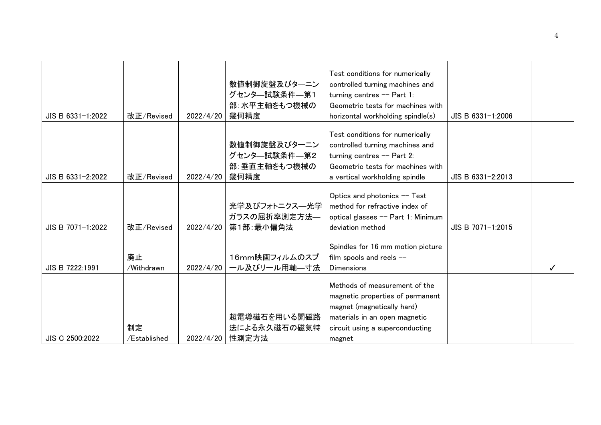| JIS B 6331-1:2022 | 改正/Revised         | 2022/4/20 | 数値制御旋盤及びターニン<br>グセンタ–試験条件–第1<br>部:水平主軸をもつ機械の<br>幾何精度 | Test conditions for numerically<br>controlled turning machines and<br>turning centres $-$ Part 1:<br>Geometric tests for machines with<br>horizontal workholding spindle(s)   | JIS B 6331-1:2006 |  |
|-------------------|--------------------|-----------|------------------------------------------------------|-------------------------------------------------------------------------------------------------------------------------------------------------------------------------------|-------------------|--|
| JIS B 6331-2:2022 | 改正/Revised         | 2022/4/20 | 数値制御旋盤及びターニン<br>グセンタ–試験条件–第2<br>部:垂直主軸をもつ機械の<br>幾何精度 | Test conditions for numerically<br>controlled turning machines and<br>turning centres $-$ Part 2:<br>Geometric tests for machines with<br>a vertical workholding spindle      | JIS B 6331-2:2013 |  |
| JIS B 7071-1:2022 | 改正/Revised         | 2022/4/20 | 光学及びフォトニクス–光学<br>ガラスの屈折率測定方法––<br>第1部:最小偏角法          | Optics and photonics -- Test<br>method for refractive index of<br>optical glasses -- Part 1: Minimum<br>deviation method                                                      | JIS B 7071-1:2015 |  |
| JIS B 7222:1991   | 廃止<br>/Withdrawn   | 2022/4/20 | 16mm映画フィルムのスプ<br>ール及びリール用軸––寸法                       | Spindles for 16 mm motion picture<br>film spools and reels $-$<br><b>Dimensions</b>                                                                                           |                   |  |
| JIS C 2500:2022   | 制定<br>/Established | 2022/4/20 | 超電導磁石を用いる開磁路<br>法による永久磁石の磁気特<br>性測定方法                | Methods of measurement of the<br>magnetic properties of permanent<br>magnet (magnetically hard)<br>materials in an open magnetic<br>circuit using a superconducting<br>magnet |                   |  |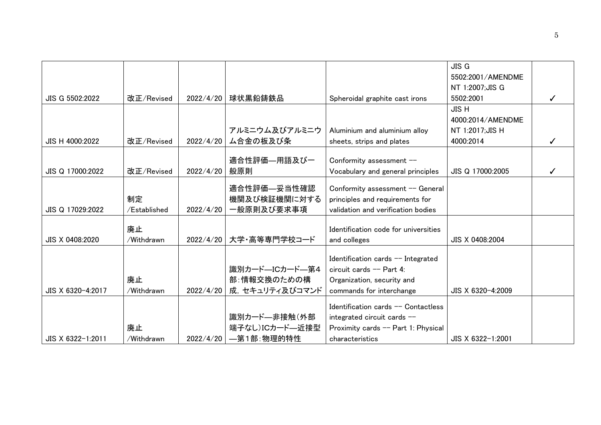|                   |              |           |                         |                                      | <b>JIS G</b>      |  |
|-------------------|--------------|-----------|-------------------------|--------------------------------------|-------------------|--|
|                   |              |           |                         |                                      | 5502:2001/AMENDME |  |
|                   |              |           |                         |                                      | NT 1:2007;JIS G   |  |
| JIS G 5502:2022   | 改正/Revised   | 2022/4/20 | 球状黒鉛鋳鉄品                 | Spheroidal graphite cast irons       | 5502:2001         |  |
|                   |              |           |                         |                                      | <b>JISH</b>       |  |
|                   |              |           |                         |                                      | 4000:2014/AMENDME |  |
|                   |              |           | アルミニウム及びアルミニウ           | Aluminium and aluminium alloy        | NT 1:2017; JIS H  |  |
| JIS H 4000:2022   | 改正/Revised   | 2022/4/20 | ム合金の板及び条                | sheets, strips and plates            | 4000:2014         |  |
|                   |              |           |                         |                                      |                   |  |
|                   |              |           | 適合性評価—用語及び一             | Conformity assessment --             |                   |  |
| JIS Q 17000:2022  | 改正/Revised   | 2022/4/20 | 般原則                     | Vocabulary and general principles    | JIS Q 17000:2005  |  |
|                   |              |           | 適合性評価—妥当性確認             | Conformity assessment -- General     |                   |  |
|                   | 制定           |           | 機関及び検証機関に対する            | principles and requirements for      |                   |  |
| JIS Q 17029:2022  | /Established | 2022/4/20 | 一般原則及び要求事項              | validation and verification bodies   |                   |  |
|                   |              |           |                         |                                      |                   |  |
|                   | 廃止           |           |                         | Identification code for universities |                   |  |
| JIS X 0408:2020   | /Withdrawn   | 2022/4/20 | 大学・高等専門学校コード            | and colleges                         | JIS X 0408:2004   |  |
|                   |              |           |                         | Identification cards -- Integrated   |                   |  |
|                   |              |           | 識別カード―ICカード―第4          | circuit cards $--$ Part 4:           |                   |  |
|                   | 廃止           |           | 部:情報交換のための構             | Organization, security and           |                   |  |
| JIS X 6320-4:2017 | /Withdrawn   | 2022/4/20 | 成, セキュリティ及びコマンド         | commands for interchange             | JIS X 6320-4:2009 |  |
|                   |              |           |                         |                                      |                   |  |
|                   |              |           |                         | Identification cards -- Contactless  |                   |  |
|                   |              |           | 識別カード—非接触(外部            | integrated circuit cards --          |                   |  |
|                   | 廃止           |           | 端子なし)ICカード–近接型          | Proximity cards -- Part 1: Physical  |                   |  |
| JIS X 6322-1:2011 | /Withdrawn   |           | 2022/4/20   —第1部: 物理的特性 | characteristics                      | JIS X 6322-1:2001 |  |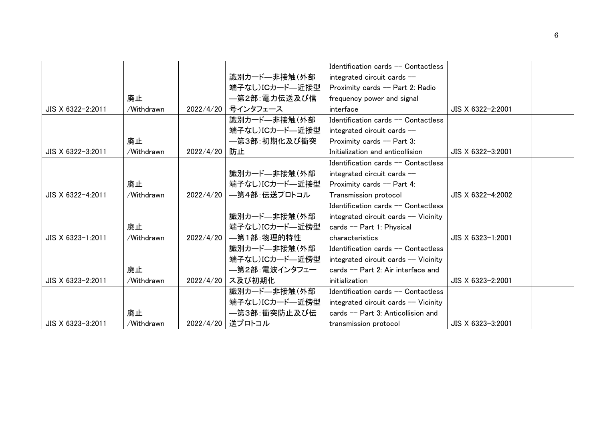|                   |            |           |                          | Identification cards $-$ Contactless |                   |  |
|-------------------|------------|-----------|--------------------------|--------------------------------------|-------------------|--|
|                   |            |           | 識別カード—非接触(外部             | integrated circuit cards --          |                   |  |
|                   |            |           | 端子なし)ICカード―近接型           | Proximity cards -- Part 2: Radio     |                   |  |
|                   | 廃止         |           | —第2部:電力伝送及び信             | frequency power and signal           |                   |  |
| JIS X 6322-2:2011 | /Withdrawn | 2022/4/20 | 号インタフェース                 | interface                            | JIS X 6322-2:2001 |  |
|                   |            |           | 識別カード––非接触(外部            | Identification cards -- Contactless  |                   |  |
|                   |            |           | 端子なし)ICカード―近接型           | integrated circuit cards --          |                   |  |
|                   | 廃止         |           | —第3部:初期化及び衝突             | Proximity cards $-$ Part 3:          |                   |  |
| JIS X 6322-3:2011 | /Withdrawn | 2022/4/20 | 防止                       | Initialization and anticollision     | JIS X 6322-3:2001 |  |
|                   |            |           |                          | Identification cards $-$ Contactless |                   |  |
|                   |            |           | 識別カード––非接触(外部            | integrated circuit cards --          |                   |  |
|                   | 廃止         |           | 端子なし)ICカード―近接型           | Proximity cards -- Part 4:           |                   |  |
| JIS X 6322-4:2011 | /Withdrawn |           | 2022/4/20   一第4部:伝送プロトコル | Transmission protocol                | JIS X 6322-4:2002 |  |
|                   |            |           |                          | Identification cards -- Contactless  |                   |  |
|                   |            |           | 識別カード––非接触(外部            | integrated circuit cards -- Vicinity |                   |  |
|                   | 廃止         |           | 端子なし)ICカード―近傍型           | cards -- Part 1: Physical            |                   |  |
| JIS X 6323-1:2011 | /Withdrawn |           | 2022/4/20   —第1部: 物理的特性  | characteristics                      | JIS X 6323-1:2001 |  |
|                   |            |           | 識別カード―非接触(外部             | Identification cards -- Contactless  |                   |  |
|                   |            |           | 端子なし)ICカード―近傍型           | integrated circuit cards -- Vicinity |                   |  |
|                   | 廃止         |           | ―第2部:電波インタフェー            | cards -- Part 2: Air interface and   |                   |  |
| JIS X 6323-2:2011 | /Withdrawn | 2022/4/20 | ス及び初期化                   | initialization                       | JIS X 6323-2:2001 |  |
|                   |            |           | 識別カード―非接触(外部             | Identification cards -- Contactless  |                   |  |
|                   |            |           | 端子なし)ICカード―近傍型           | integrated circuit cards -- Vicinity |                   |  |
|                   | 廃止         |           | —第3部∶衝突防止及び伝             | cards $-$ Part 3: Anticollision and  |                   |  |
| JIS X 6323-3:2011 | /Withdrawn | 2022/4/20 | 送プロトコル                   | transmission protocol                | JIS X 6323-3:2001 |  |